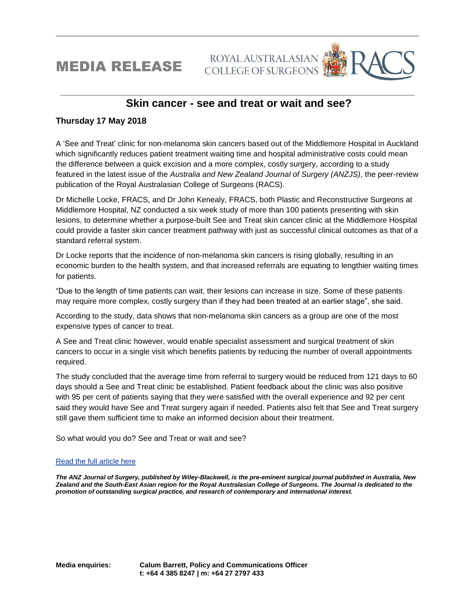MEDIA RELEASE

## **Skin cancer - see and treat or wait and see?**

ROYAL AUSTRALASIAN<br>COLLEGE OF SURGEONS

### **Thursday 17 May 2018**

A 'See and Treat' clinic for non-melanoma skin cancers based out of the Middlemore Hospital in Auckland which significantly reduces patient treatment waiting time and hospital administrative costs could mean the difference between a quick excision and a more complex, costly surgery, according to a study featured in the latest issue of the *Australia and New Zealand Journal of Surgery (ANZJS)*, the peer-review publication of the Royal Australasian College of Surgeons (RACS).

Dr Michelle Locke, FRACS, and Dr John Kenealy, FRACS, both Plastic and Reconstructive Surgeons at Middlemore Hospital, NZ conducted a six week study of more than 100 patients presenting with skin lesions, to determine whether a purpose-built See and Treat skin cancer clinic at the Middlemore Hospital could provide a faster skin cancer treatment pathway with just as successful clinical outcomes as that of a standard referral system.

Dr Locke reports that the incidence of non-melanoma skin cancers is rising globally, resulting in an economic burden to the health system, and that increased referrals are equating to lengthier waiting times for patients.

"Due to the length of time patients can wait, their lesions can increase in size. Some of these patients may require more complex, costly surgery than if they had been treated at an earlier stage", she said.

According to the study, data shows that non-melanoma skin cancers as a group are one of the most expensive types of cancer to treat.

A See and Treat clinic however, would enable specialist assessment and surgical treatment of skin cancers to occur in a single visit which benefits patients by reducing the number of overall appointments required.

The study concluded that the average time from referral to surgery would be reduced from 121 days to 60 days should a See and Treat clinic be established. Patient feedback about the clinic was also positive with 95 per cent of patients saying that they were satisfied with the overall experience and 92 per cent said they would have See and Treat surgery again if needed. Patients also felt that See and Treat surgery still gave them sufficient time to make an informed decision about their treatment.

So what would you do? See and Treat or wait and see?

#### [Read the full article here](https://www.onlinelibrary.wiley.com/doi/abs/10.1111/ans.14110)

*The ANZ Journal of Surgery, published by Wiley-Blackwell, is the pre-eminent surgical journal published in Australia, New Zealand and the South-East Asian region for the Royal Australasian College of Surgeons. The Journal is dedicated to the promotion of outstanding surgical practice, and research of contemporary and international interest.* 

**Media enquiries: Calum Barrett, Policy and Communications Officer t: +64 4 385 8247 | m: +64 27 2797 433**